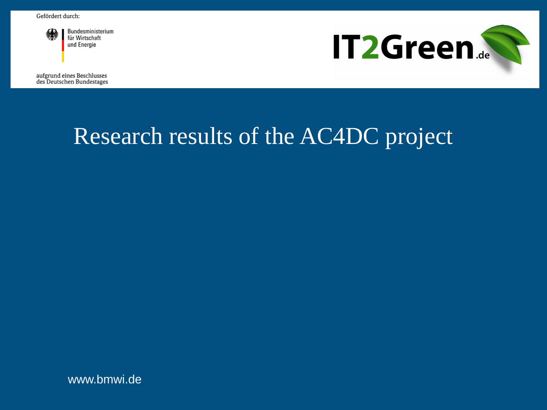

Bundesministerium für Wirtschaft und Energie

**IT2Green.** 

aufgrund eines Beschlusses des Deutschen Bundestages

# Research results of the AC4DC project

www.bmwi.de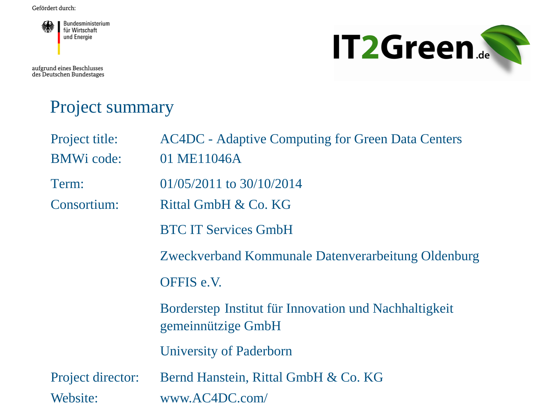

aufgrund eines Beschlusses<br>des Deutschen Bundestages



### Project summary

| Project title:<br><b>BMWi</b> code: | <b>AC4DC</b> - Adaptive Computing for Green Data Centers<br>01 ME11046A     |
|-------------------------------------|-----------------------------------------------------------------------------|
| Term:<br>Consortium:                | $01/05/2011$ to $30/10/2014$<br>Rittal GmbH & Co. KG                        |
|                                     | <b>BTC IT Services GmbH</b>                                                 |
|                                     | Zweckverband Kommunale Datenverarbeitung Oldenburg                          |
|                                     | OFFIS e.V.                                                                  |
|                                     | Borderstep Institut für Innovation und Nachhaltigkeit<br>gemeinnützige GmbH |
|                                     | University of Paderborn                                                     |
| Project director:<br>Website:       | Bernd Hanstein, Rittal GmbH & Co. KG<br>www.AC4DC.com/                      |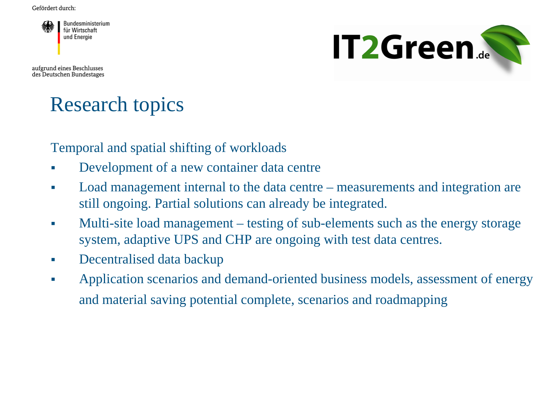

aufgrund eines Beschlusses des Deutschen Bundestages



## Research topics

Temporal and spatial shifting of workloads

- Development of a new container data centre
- Load management internal to the data centre measurements and integration are still ongoing. Partial solutions can already be integrated.
- Multi-site load management testing of sub-elements such as the energy storage system, adaptive UPS and CHP are ongoing with test data centres.
- Decentralised data backup
- Application scenarios and demand-oriented business models, assessment of energy and material saving potential complete, scenarios and roadmapping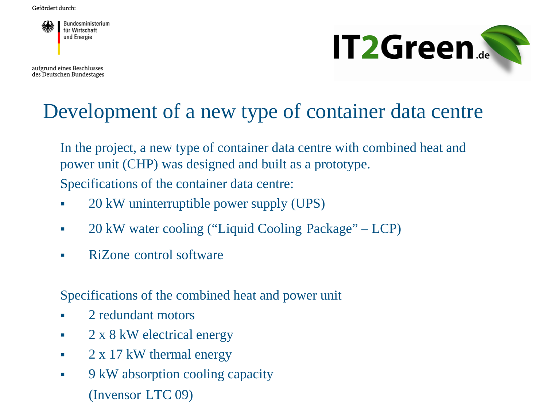

aufgrund eines Beschlusses des Deutschen Bundestages



## Development of a new type of container data centre

In the project, a new type of container data centre with combined heat and power unit (CHP) was designed and built as a prototype. Specifications of the container data centre:

- 20 kW uninterruptible power supply (UPS)
- 20 kW water cooling ("Liquid Cooling Package" LCP)
- RiZone control software

Specifications of the combined heat and power unit

- 2 redundant motors
- $\sim 2 \times 8$  kW electrical energy
- $\sim 2 \times 17$  kW thermal energy
- $\bullet$  9 kW absorption cooling capacity (Invensor LTC 09)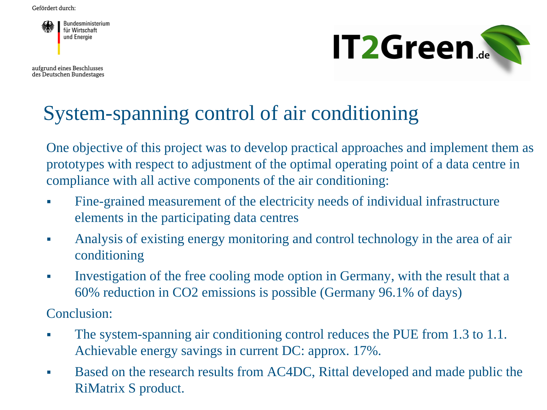

aufgrund eines Beschlusses des Deutschen Bundestages



## System-spanning control of air conditioning

One objective of this project was to develop practical approaches and implement them as prototypes with respect to adjustment of the optimal operating point of a data centre in compliance with all active components of the air conditioning:

- Fine-grained measurement of the electricity needs of individual infrastructure elements in the participating data centres
- Analysis of existing energy monitoring and control technology in the area of air conditioning
- Investigation of the free cooling mode option in Germany, with the result that a 60% reduction in CO2 emissions is possible (Germany 96.1% of days)

Conclusion:

- The system-spanning air conditioning control reduces the PUE from 1.3 to 1.1. Achievable energy savings in current DC: approx. 17%.
- Based on the research results from AC4DC, Rittal developed and made public the RiMatrix S product.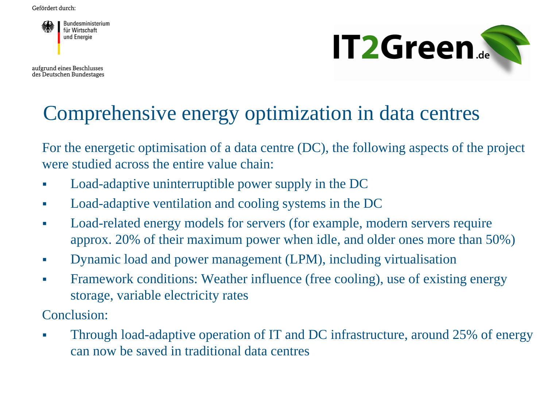

aufgrund eines Beschlusses des Deutschen Bundestages



## Comprehensive energy optimization in data centres

For the energetic optimisation of a data centre (DC), the following aspects of the project were studied across the entire value chain:

- Load-adaptive uninterruptible power supply in the DC
- Load-adaptive ventilation and cooling systems in the DC
- Load-related energy models for servers (for example, modern servers require approx. 20% of their maximum power when idle, and older ones more than 50%)
- Dynamic load and power management (LPM), including virtualisation
- Framework conditions: Weather influence (free cooling), use of existing energy storage, variable electricity rates

Conclusion:

• Through load-adaptive operation of IT and DC infrastructure, around 25% of energy can now be saved in traditional data centres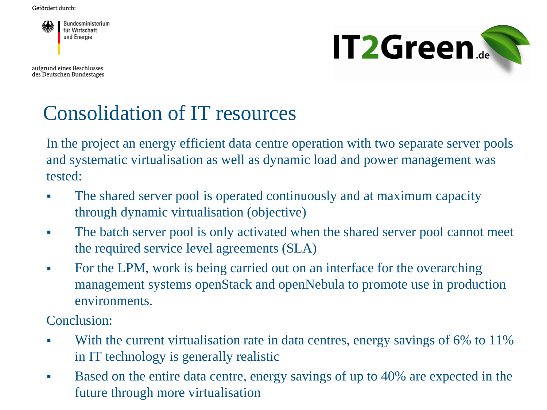

aufgrund eines Beschlusses des Deutschen Bundestages



# Consolidation of IT resources

In the project an energy efficient data centre operation with two separate server pools and systematic virtualisation as well as dynamic load and power management was tested:

- The shared server pool is operated continuously and at maximum capacity through dynamic virtualisation (objective)
- The batch server pool is only activated when the shared server pool cannot meet the required service level agreements (SLA)
- For the LPM, work is being carried out on an interface for the overarching management systems openStack and openNebula to promote use in production environments.

Conclusion:

- With the current virtualisation rate in data centres, energy savings of 6% to 11% in IT technology is generally realistic
- Based on the entire data centre, energy savings of up to 40% are expected in the future through more virtualisation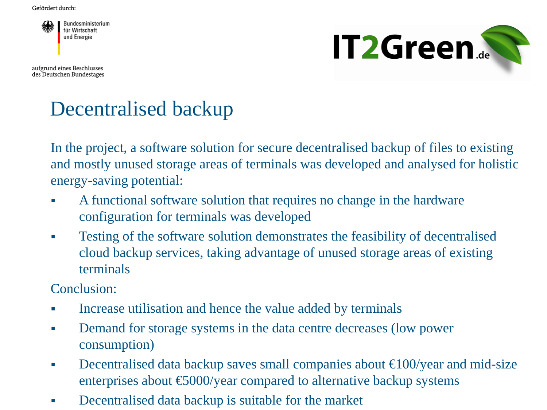

aufgrund eines Beschlusses des Deutschen Bundestages



## Decentralised backup

In the project, a software solution for secure decentralised backup of files to existing and mostly unused storage areas of terminals was developed and analysed for holistic energy-saving potential:

- A functional software solution that requires no change in the hardware configuration for terminals was developed
- Testing of the software solution demonstrates the feasibility of decentralised cloud backup services, taking advantage of unused storage areas of existing terminals

Conclusion:

- Increase utilisation and hence the value added by terminals
- Demand for storage systems in the data centre decreases (low power consumption)
- Decentralised data backup saves small companies about  $\bigoplus$  00/year and mid-size enterprises about  $\epsilon$ 5000/year compared to alternative backup systems
- Decentralised data backup is suitable for the market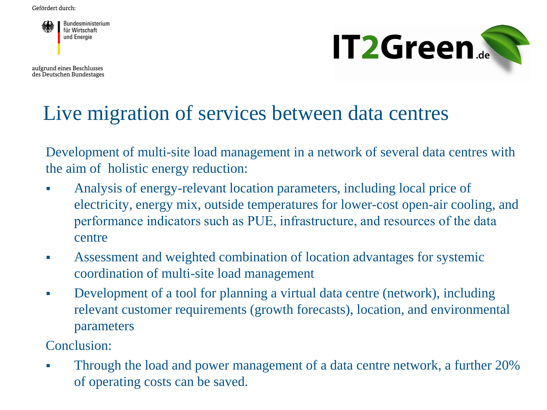

aufgrund eines Beschlusses des Deutschen Bundestages



## Live migration of services between data centres

Development of multi-site load management in a network of several data centres with the aim of holistic energy reduction:

- Analysis of energy-relevant location parameters, including local price of electricity, energy mix, outside temperatures for lower-cost open-air cooling, and performance indicators such as PUE, infrastructure, and resources of the data centre
- Assessment and weighted combination of location advantages for systemic coordination of multi-site load management
- Development of a tool for planning a virtual data centre (network), including relevant customer requirements (growth forecasts), location, and environmental parameters

Conclusion:

**Through the load and power management of a data centre network, a further 20%** of operating costs can be saved.